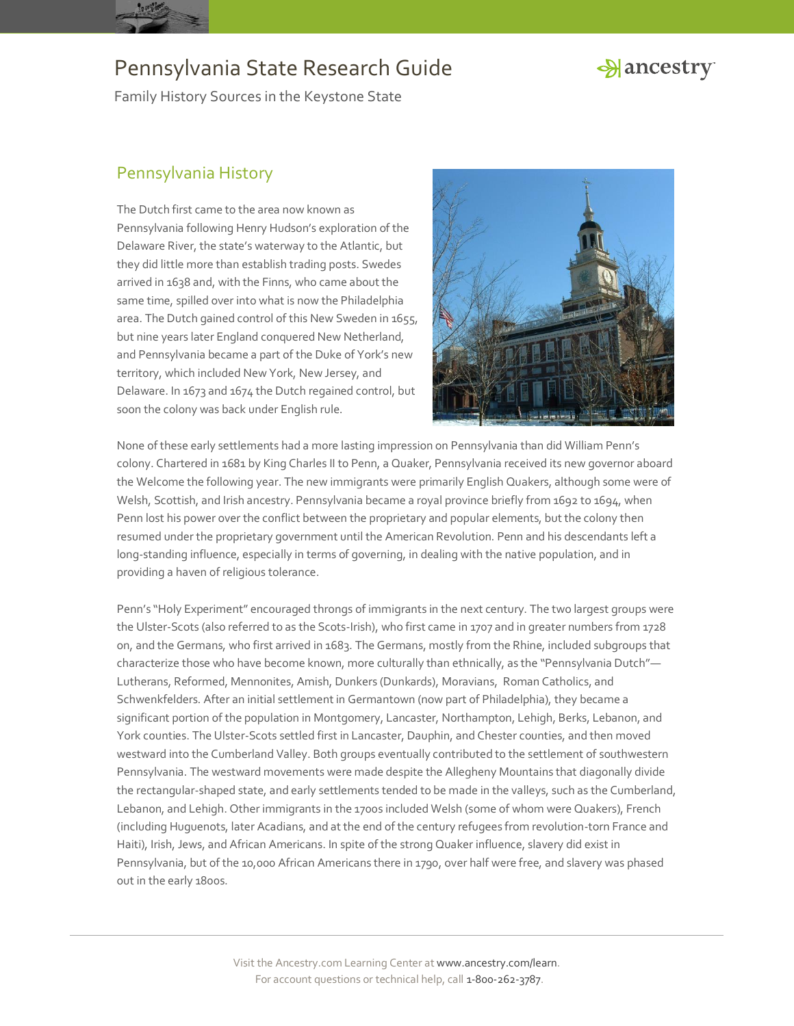

### Hancestry

Family History Sources in the Keystone State

### Pennsylvania History

The Dutch first came to the area now known as Pennsylvania following Henry Hudson's exploration of the Delaware River, the state's waterway to the Atlantic, but they did little more than establish trading posts. Swedes arrived in 1638 and, with the Finns, who came about the same time, spilled over into what is now the Philadelphia area. The Dutch gained control of this New Sweden in 1655, but nine years later England conquered New Netherland, and Pennsylvania became a part of the Duke of York's new territory, which included New York, New Jersey, and Delaware. In 1673 and 1674 the Dutch regained control, but soon the colony was back under English rule.



None of these early settlements had a more lasting impression on Pennsylvania than did William Penn's colony. Chartered in 1681 by King Charles II to Penn, a Quaker, Pennsylvania received its new governor aboard the Welcome the following year. The new immigrants were primarily English Quakers, although some were of Welsh, Scottish, and Irish ancestry. Pennsylvania became a royal province briefly from 1692 to 1694, when Penn lost his power over the conflict between the proprietary and popular elements, but the colony then resumed under the proprietary government until the American Revolution. Penn and his descendants left a long-standing influence, especially in terms of governing, in dealing with the native population, and in providing a haven of religious tolerance.

Penn's "Holy Experiment" encouraged throngs of immigrants in the next century. The two largest groups were the Ulster-Scots (also referred to as the Scots-Irish), who first came in 1707 and in greater numbers from 1728 on, and the Germans, who first arrived in 1683. The Germans, mostly from the Rhine, included subgroups that characterize those who have become known, more culturally than ethnically, as the "Pennsylvania Dutch"— Lutherans, Reformed, Mennonites, Amish, Dunkers (Dunkards), Moravians, Roman Catholics, and Schwenkfelders. After an initial settlement in Germantown (now part of Philadelphia), they became a significant portion of the population in Montgomery, Lancaster, Northampton, Lehigh, Berks, Lebanon, and York counties. The Ulster-Scots settled first in Lancaster, Dauphin, and Chester counties, and then moved westward into the Cumberland Valley. Both groups eventually contributed to the settlement of southwestern Pennsylvania. The westward movements were made despite the Allegheny Mountains that diagonally divide the rectangular-shaped state, and early settlements tended to be made in the valleys, such as the Cumberland, Lebanon, and Lehigh. Other immigrants in the 1700s included Welsh (some of whom were Quakers), French (including Huguenots, later Acadians, and at the end of the century refugees from revolution-torn France and Haiti), Irish, Jews, and African Americans. In spite of the strong Quaker influence, slavery did exist in Pennsylvania, but of the 10,000 African Americans there in 1790, over half were free, and slavery was phased out in the early 1800s.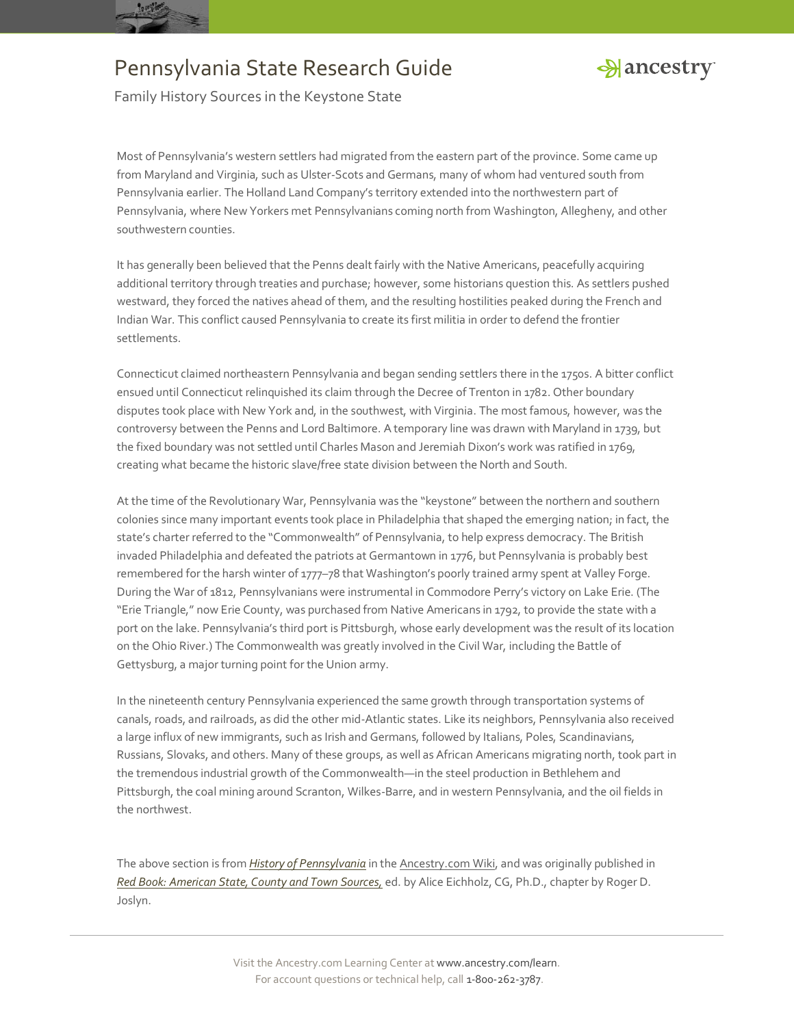



Family History Sources in the Keystone State

Most of Pennsylvania's western settlers had migrated from the eastern part of the province. Some came up from Maryland and Virginia, such as Ulster-Scots and Germans, many of whom had ventured south from Pennsylvania earlier. The Holland Land Company's territory extended into the northwestern part of Pennsylvania, where New Yorkers met Pennsylvanians coming north from Washington, Allegheny, and other southwestern counties.

It has generally been believed that the Penns dealt fairly with the Native Americans, peacefully acquiring additional territory through treaties and purchase; however, some historians question this. As settlers pushed westward, they forced the natives ahead of them, and the resulting hostilities peaked during the French and Indian War. This conflict caused Pennsylvania to create its first militia in order to defend the frontier settlements.

Connecticut claimed northeastern Pennsylvania and began sending settlers there in the 1750s. A bitter conflict ensued until Connecticut relinquished its claim through the Decree of Trenton in 1782. Other boundary disputes took place with New York and, in the southwest, with Virginia. The most famous, however, was the controversy between the Penns and Lord Baltimore. A temporary line was drawn with Maryland in 1739, but the fixed boundary was not settled until Charles Mason and Jeremiah Dixon's work was ratified in 1769, creating what became the historic slave/free state division between the North and South.

At the time of the Revolutionary War, Pennsylvania was the "keystone" between the northern and southern colonies since many important events took place in Philadelphia that shaped the emerging nation; in fact, the state's charter referred to the "Commonwealth" of Pennsylvania, to help express democracy. The British invaded Philadelphia and defeated the patriots at Germantown in 1776, but Pennsylvania is probably best remembered for the harsh winter of 1777–78 that Washington's poorly trained army spent at Valley Forge. During the War of 1812, Pennsylvanians were instrumental in Commodore Perry's victory on Lake Erie. (The "Erie Triangle," now Erie County, was purchased from Native Americans in 1792, to provide the state with a port on the lake. Pennsylvania's third port is Pittsburgh, whose early development was the result of its location on the Ohio River.) The Commonwealth was greatly involved in the Civil War, including the Battle of Gettysburg, a major turning point for the Union army.

In the nineteenth century Pennsylvania experienced the same growth through transportation systems of canals, roads, and railroads, as did the other mid-Atlantic states. Like its neighbors, Pennsylvania also received a large influx of new immigrants, such as Irish and Germans, followed by Italians, Poles, Scandinavians, Russians, Slovaks, and others. Many of these groups, as well as African Americans migrating north, took part in the tremendous industrial growth of the Commonwealth—in the steel production in Bethlehem and Pittsburgh, the coal mining around Scranton, Wilkes-Barre, and in western Pennsylvania, and the oil fields in the northwest.

The above section is from *[History of Pennsylvania](http://www.ancestry.com/wiki/index.php?title=History_of_Pennsylvania)* in th[e Ancestry.com Wiki,](http://www.ancestry.com/wiki/index.php?title=Main_Page) and was originally published in *[Red Book: American State, County and Town Sources,](http://bit.ly/vzy0vW)* ed. by Alice Eichholz, CG, Ph.D., chapter by Roger D. Joslyn.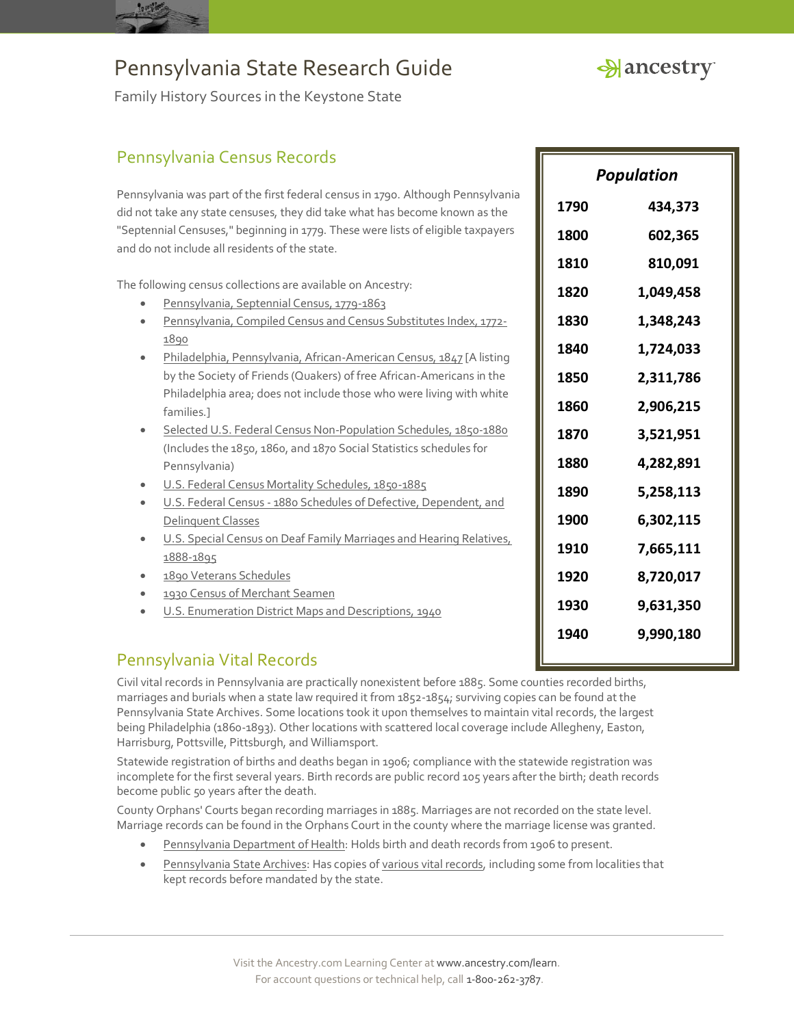

*Population*

**1790 434,373**

**1800 602,365**

**1810 810,091**

**1820 1,049,458**

**1830 1,348,243**

**1840 1,724,033**

**1850 2,311,786**

**1860 2,906,215**

**1870 3,521,951**

**1880 4,282,891**

**1890 5,258,113**

**1900 6,302,115**

**1910 7,665,111**

**1920 8,720,017**

**1930 9,631,350**

**1940 9,990,180**

Family History Sources in the Keystone State

### Pennsylvania Census Records

Pennsylvania was part of the first federal census in 1790. Although Pennsylvania did not take any state censuses, they did take what has become known as the "Septennial Censuses," beginning in 1779. These were lists of eligible taxpayers and do not include all residents of the state.

The following census collections are available on Ancestry:

- · [Pennsylvania, Septennial Census, 1779-1863](http://search.ancestry.com/search/db.aspx?dbid=2702)
- [Pennsylvania, Compiled Census and Census Substitutes Index, 1772-](http://search.ancestry.com/search/db.aspx?dbid=3570) [1890](http://search.ancestry.com/search/db.aspx?dbid=3570)
- [Philadelphia, Pennsylvania, African-American Census, 1847](http://search.ancestry.com/search/db.aspx?dbid=2709) [A listing by the Society of Friends (Quakers) of free African-Americans in the Philadelphia area; does not include those who were living with white families.]
- [Selected U.S. Federal Census Non-Population Schedules, 1850-1880](http://search.ancestry.com/search/db.aspx?dbid=1276) (Includes the 1850, 1860, and 1870 Social Statistics schedules for Pennsylvania)
- [U.S. Federal Census Mortality Schedules, 1850-1885](http://search.ancestry.com/search/db.aspx?dbid=8756)
- U.S. Federal Census [1880 Schedules of Defective, Dependent, and](http://search.ancestry.com/search/db.aspx?dbid=1634)  [Delinquent Classes](http://search.ancestry.com/search/db.aspx?dbid=1634)
- **U.S. Special Census on Deaf Family Marriages and Hearing Relatives,** 1888-18
- 1890 Ve
- 1930 Ce
- U.S. En

### Pennsylvan

Civil vital records in Pennsylvania are practically nonexistent before 1885. Some counties recorded births, marriages and burials when a state law required it from 1852-1854; surviving copies can be found at the Pennsylvania State Archives. Some locations took it upon themselves to maintain vital records, the largest being Philadelphia (1860-1893). Other locations with scattered local coverage include Allegheny, Easton, Harrisburg, Pottsville, Pittsburgh, and Williamsport.

Statewide registration of births and deaths began in 1906; compliance with the statewide registration was incomplete for the first several years. Birth records are public record 105 years after the birth; death records become public 50 years after the death.

County Orphans' Courts began recording marriages in 1885. Marriages are not recorded on the state level. Marriage records can be found in the Orphans Court in the county where the marriage license was granted.

- [Pennsylvania Department of Health:](http://www.portal.health.state.pa.us/portal/server.pt/community/birth_and_death_certificates/11596) Holds birth and death records from 1906 to present.
- [Pennsylvania State Archives](http://www.portal.state.pa.us/portal/server.pt/community/state_archives/2887): Has copies o[f various vital records,](http://www.portal.state.pa.us/portal/server.pt/community/genealogy/3183/vital_statistics/387291) including some from localities that kept records before mandated by the state.

| ecial Census on Deaf Family Marriages and Hearing Relatives,                                                                                                                                                                                                                                                                                                                      | 1910 | 7,665,111 |
|-----------------------------------------------------------------------------------------------------------------------------------------------------------------------------------------------------------------------------------------------------------------------------------------------------------------------------------------------------------------------------------|------|-----------|
| 895                                                                                                                                                                                                                                                                                                                                                                               |      |           |
| eterans Schedules                                                                                                                                                                                                                                                                                                                                                                 | 1920 | 8,720,017 |
| ensus of Merchant Seamen                                                                                                                                                                                                                                                                                                                                                          |      |           |
| <b>Iumeration District Maps and Descriptions, 1940</b>                                                                                                                                                                                                                                                                                                                            | 1930 | 9,631,350 |
|                                                                                                                                                                                                                                                                                                                                                                                   | 1940 | 9,990,180 |
| iia Vital Records                                                                                                                                                                                                                                                                                                                                                                 |      |           |
| s in Pennsylvania are practically nonexistent before 1885. Some counties recorded births,<br>urials when a state law required it from 1852-1854; surviving copies can be found at the<br>ate Archives. Some locations took it upon themselves to maintain vital records, the largest<br>hia (1860-1893). Other locations with scattered local coverage include Allegheny، Easton، |      |           |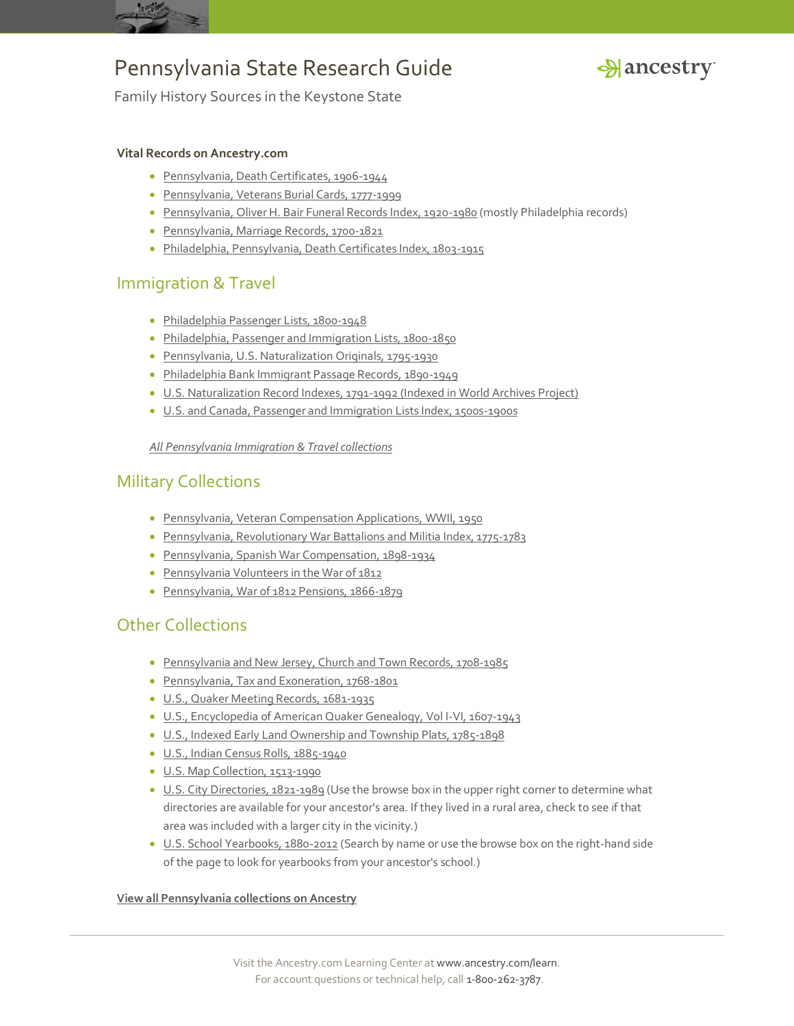



Family History Sources in the Keystone State

#### **Vital Records on Ancestry.com**

- [Pennsylvania, Death Certificates, 1906-1944](http://search.ancestry.com/search/db.aspx?dbid=5164)
- [Pennsylvania, Veterans Burial Cards, 1777-1999](http://search.ancestry.com/search/db.aspx?dbid=1967)
- [Pennsylvania, Oliver H. Bair Funeral Records Index, 1920-1980](http://search.ancestry.com/search/db.aspx?dbid=2414) (mostly Philadelphia records)
- [Pennsylvania, Marriage Records, 1700-1821](http://search.ancestry.com/search/db.aspx?dbid=2383)
- [Philadelphia, Pennsylvania, Death Certificates Index, 1803-1915](http://search.ancestry.com/search/db.aspx?dbid=2535)

#### Immigration & Travel

- [Philadelphia Passenger Lists, 1800-1948](http://search.ancestry.com/search/db.aspx?dbid=8769)
- [Philadelphia, Passenger and Immigration Lists, 1800-1850](http://search.ancestry.com/search/db.aspx?dbid=7483)
- [Pennsylvania, U.S. Naturalization Originals, 1795-1930](http://search.ancestry.com/search/db.aspx?dbid=2717)
- [Philadelphia Bank Immigrant Passage Records, 1890-1949](http://search.ancestry.com/search/db.aspx?dbid=1366)
- [U.S. Naturalization Record Indexes, 1791-1992 \(Indexed in World Archives Project\)](http://search.ancestry.com/search/db.aspx?dbid=1629)
- [U.S. and Canada, Passenger and Immigration Lists Index, 1500s-1900s](http://search.ancestry.com/search/db.aspx?dbid=7486)

#### *[All Pennsylvania Immigration & Travel collections](http://search.ancestry.com/Places/US/Pennsylvania/Default.aspx?category=40)*

#### Military Collections

- [Pennsylvania, Veteran Compensation Applications, WWII, 1950](http://search.ancestry.com/search/db.aspx?dbid=3147)
- [Pennsylvania, Revolutionary War Battalions and Militia Index, 1775-1783](http://search.ancestry.com/search/db.aspx?dbid=2591)
- [Pennsylvania, Spanish War Compensation, 1898-1934](http://search.ancestry.com/search/db.aspx?dbid=2392)
- [Pennsylvania Volunteers in the War of 1812](http://search.ancestry.com/search/db.aspx?dbid=3325)
- [Pennsylvania, War of 1812 Pensions, 1866-1879](http://search.ancestry.com/search/db.aspx?dbid=2394)

### Other Collections

- [Pennsylvania and New Jersey, Church and Town Records, 1708-1985](http://search.ancestry.com/search/db.aspx?dbid=2451)
- [Pennsylvania, Tax and Exoneration, 1768-1801](http://search.ancestry.com/search/db.aspx?dbid=2497)
- [U.S., Quaker Meeting Records, 1681-1935](http://search.ancestry.com/search/db.aspx?dbid=2189)
- [U.S., Encyclopedia of American Quaker Genealogy, Vol I-VI, 1607-1943](http://search.ancestry.com/search/db.aspx?dbid=3753)
- [U.S., Indexed Early Land Ownership and Township Plats, 1785-1898](http://search.ancestry.com/search/db.aspx?dbid=2179)
- [U.S., Indian Census Rolls, 1885-1940](http://search.ancestry.com/search/db.aspx?dbid=1059)
- [U.S. Map Collection, 1513-1990](http://search.ancestry.com/search/db.aspx?dbid=8739)
- [U.S. City Directories, 1821-1989](http://search.ancestry.com/search/db.aspx?dbid=2469) (Use the browse box in the upper right corner to determine what directories are available for your ancestor's area. If they lived in a rural area, check to see if that area was included with a larger city in the vicinity.)
- [U.S. School Yearbooks, 1880-2012](http://search.ancestry.com/search/db.aspx?dbid=1265) (Search by name or use the browse box on the right-hand side of the page to look for yearbooks from your ancestor's school.)

#### **[View all Pennsylvania collections on Ancestry](http://search.ancestry.com/Places/US/Pennsylvania/Default.aspx)**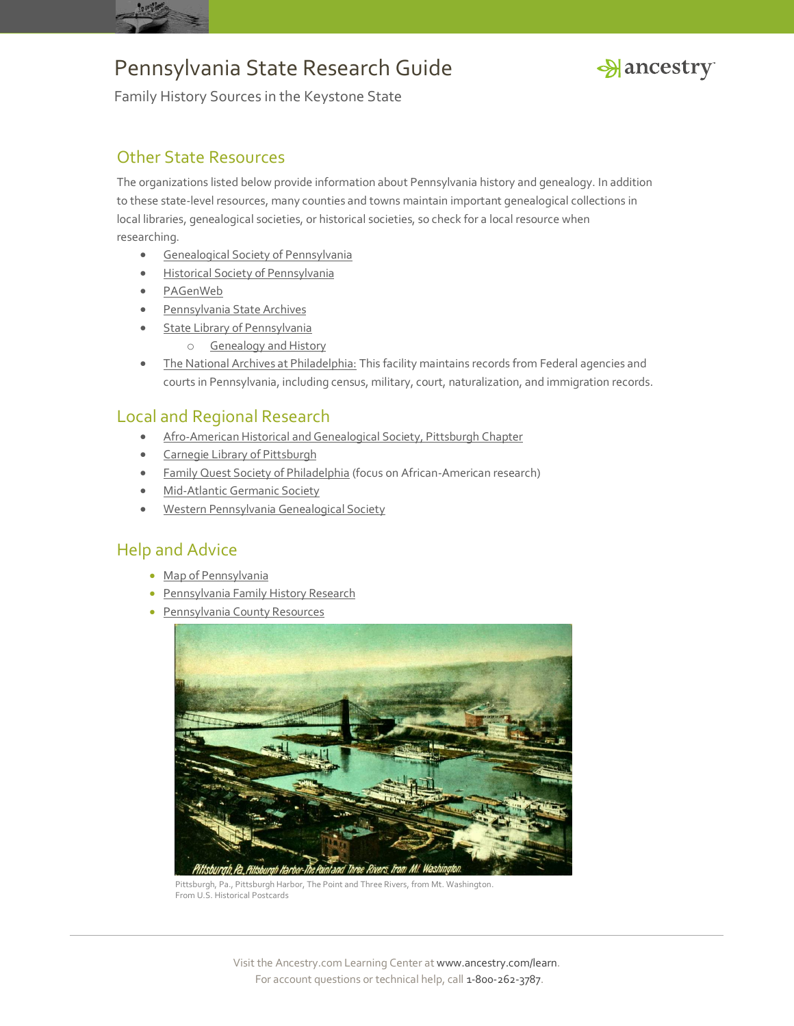



Family History Sources in the Keystone State

#### Other State Resources

The organizations listed below provide information about Pennsylvania history and genealogy. In addition to these state-level resources, many counties and towns maintain important genealogical collections in local libraries, genealogical societies, or historical societies, so check for a local resource when researching.

- **[Genealogical Society of Pennsylvania](http://genpa.org/)**
- [Historical Society of Pennsylvania](https://www.hsp.org/)
- [PAGenWeb](http://www.pagenweb.org/)
- **•** [Pennsylvania State Archives](http://www.portal.state.pa.us/portal/server.pt/community/state_archives/2887)
- **[State Library of Pennsylvania](http://www.portal.state.pa.us/portal/server.pt/community/bureau_of_state_library/8811)** 
	- o [Genealogy and History](http://www.portal.state.pa.us/portal/server.pt/community/genealogy_and_local_history/8730)
- [The National Archives at Philadelphia:](http://www.archives.gov/philadelphia/) This facility maintains records from Federal agencies and courts in Pennsylvania, including census, military, court, naturalization, and immigration records.

### Local and Regional Research

- [Afro-American Historical and Genealogical Society, Pittsburgh Chapter](http://pittsburgh.aahgs.org/index.htm)
- [Carnegie Library of Pittsburgh](http://www.carnegielibrary.org/research/genealogy/genealogy/)
- [Family Quest Society of Philadelphia](http://aahgsphila.webs.com/) (focus on African-American research)
- [Mid-Atlantic Germanic Society](http://www.magsgen.com/)
- [Western Pennsylvania Genealogical Society](http://www.wpgs.org/)

### Help and Advice

- [Map of Pennsylvania](http://www.ancestry.com/wiki/index.php?title=Map_of_Pennsylvania)
- [Pennsylvania Family History Research](http://www.ancestry.com/wiki/index.php?title=Pennsylvania_Family_History_Research)
- **[Pennsylvania County Resources](http://www.ancestry.com/wiki/index.php?title=Counties_of_Illinois)**



Pittsburgh, Pa., Pittsburgh Harbor, The Point and Three Rivers, from Mt. Washington. From U.S. Historical Postcards

Visit the Ancestry.com Learning Center a[t www.ancestry.com/learn.](http://www.ancestry.com/learn) For account questions or technical help, call 1-800-262-3787.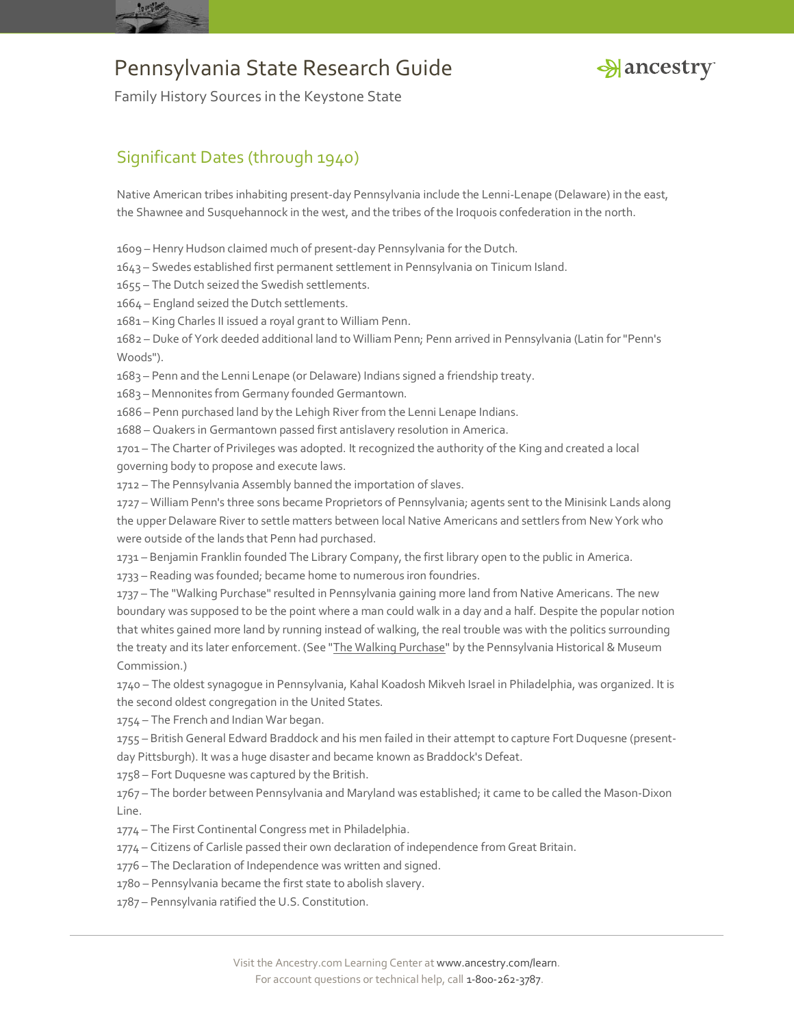



Family History Sources in the Keystone State

### Significant Dates (through 1940)

Native American tribes inhabiting present-day Pennsylvania include the Lenni-Lenape (Delaware) in the east, the Shawnee and Susquehannock in the west, and the tribes of the Iroquois confederation in the north.

1609 – Henry Hudson claimed much of present-day Pennsylvania for the Dutch.

1643 – Swedes established first permanent settlement in Pennsylvania on Tinicum Island.

1655 – The Dutch seized the Swedish settlements.

1664 – England seized the Dutch settlements.

1681 – King Charles II issued a royal grant to William Penn.

1682 – Duke of York deeded additional land to William Penn; Penn arrived in Pennsylvania (Latin for "Penn's Woods").

1683 – Penn and the Lenni Lenape (or Delaware) Indians signed a friendship treaty.

1683 – Mennonites from Germany founded Germantown.

1686 – Penn purchased land by the Lehigh River from the Lenni Lenape Indians.

1688 – Quakers in Germantown passed first antislavery resolution in America.

1701 – The Charter of Privileges was adopted. It recognized the authority of the King and created a local governing body to propose and execute laws.

1712 – The Pennsylvania Assembly banned the importation of slaves.

1727 – William Penn's three sons became Proprietors of Pennsylvania; agents sent to the Minisink Lands along the upper Delaware River to settle matters between local Native Americans and settlers from New York who were outside of the lands that Penn had purchased.

1731 – Benjamin Franklin founded The Library Company, the first library open to the public in America.

1733 – Reading was founded; became home to numerous iron foundries.

1737 – The "Walking Purchase" resulted in Pennsylvania gaining more land from Native Americans. The new boundary was supposed to be the point where a man could walk in a day and a half. Despite the popular notion that whites gained more land by running instead of walking, the real trouble was with the politics surrounding the treaty and its later enforcement. (See ["The Walking Purchase"](http://www.portal.state.pa.us/portal/server.pt/community/things/4280/walking_purchase/478692) by the Pennsylvania Historical & Museum Commission.)

1740 – The oldest synagogue in Pennsylvania, Kahal Koadosh Mikveh Israel in Philadelphia, was organized. It is the second oldest congregation in the United States.

1754 – The French and Indian War began.

1755 – British General Edward Braddock and his men failed in their attempt to capture Fort Duquesne (presentday Pittsburgh). It was a huge disaster and became known as Braddock's Defeat.

1758 – Fort Duquesne was captured by the British.

1767 – The border between Pennsylvania and Maryland was established; it came to be called the Mason-Dixon Line.

1774 – The First Continental Congress met in Philadelphia.

1774 – Citizens of Carlisle passed their own declaration of independence from Great Britain.

- 1776 The Declaration of Independence was written and signed.
- 1780 Pennsylvania became the first state to abolish slavery.
- 1787 Pennsylvania ratified the U.S. Constitution.